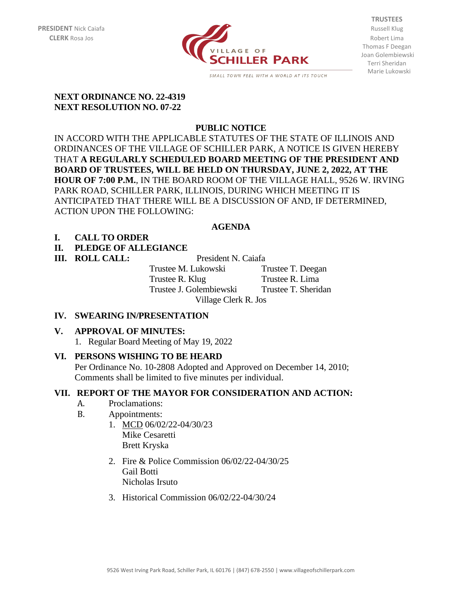

**TRUSTEES** Thomas F Deegan Joan Golembiewski Terri Sheridan Marie Lukowski

#### **NEXT ORDINANCE NO. 22-4319 NEXT RESOLUTION NO. 07-22**

# **PUBLIC NOTICE**

IN ACCORD WITH THE APPLICABLE STATUTES OF THE STATE OF ILLINOIS AND ORDINANCES OF THE VILLAGE OF SCHILLER PARK, A NOTICE IS GIVEN HEREBY THAT **A REGULARLY SCHEDULED BOARD MEETING OF THE PRESIDENT AND BOARD OF TRUSTEES, WILL BE HELD ON THURSDAY, JUNE 2, 2022, AT THE HOUR OF 7:00 P.M.**, IN THE BOARD ROOM OF THE VILLAGE HALL, 9526 W. IRVING PARK ROAD, SCHILLER PARK, ILLINOIS, DURING WHICH MEETING IT IS ANTICIPATED THAT THERE WILL BE A DISCUSSION OF AND, IF DETERMINED, ACTION UPON THE FOLLOWING:

## **AGENDA**

## **I. CALL TO ORDER**

## **II. PLEDGE OF ALLEGIANCE**

### **III. ROLL CALL:** President N. Caiafa

Trustee M. Lukowski Trustee T. Deegan Trustee R. Klug Trustee R. Lima Trustee J. Golembiewski Trustee T. Sheridan Village Clerk R. Jos

# **IV. SWEARING IN/PRESENTATION**

### **V. APPROVAL OF MINUTES:**

1. Regular Board Meeting of May 19, 2022

### **VI. PERSONS WISHING TO BE HEARD**

Per Ordinance No. 10-2808 Adopted and Approved on December 14, 2010; Comments shall be limited to five minutes per individual.

### **VII. REPORT OF THE MAYOR FOR CONSIDERATION AND ACTION:**

- A. Proclamations:
- B. Appointments:
	- 1. MCD 06/02/22-04/30/23 Mike Cesaretti Brett Kryska
	- 2. Fire & Police Commission 06/02/22-04/30/25 Gail Botti Nicholas Irsuto
	- 3. Historical Commission 06/02/22-04/30/24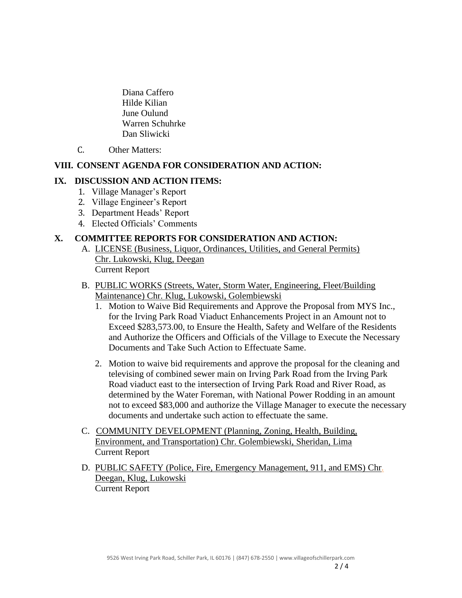Diana Caffero Hilde Kilian June Oulund Warren Schuhrke Dan Sliwicki

C. Other Matters:

#### **VIII. CONSENT AGENDA FOR CONSIDERATION AND ACTION:**

#### **IX. DISCUSSION AND ACTION ITEMS:**

- 1. Village Manager's Report
- 2. Village Engineer's Report
- 3. Department Heads' Report
- 4. Elected Officials' Comments

#### **X. COMMITTEE REPORTS FOR CONSIDERATION AND ACTION:**

- A. LICENSE (Business, Liquor, Ordinances, Utilities, and General Permits) Chr. Lukowski, Klug, Deegan Current Report
- B. PUBLIC WORKS (Streets, Water, Storm Water, Engineering, Fleet/Building Maintenance) Chr. Klug, Lukowski, Golembiewski
	- 1. Motion to Waive Bid Requirements and Approve the Proposal from MYS Inc., for the Irving Park Road Viaduct Enhancements Project in an Amount not to Exceed \$283,573.00, to Ensure the Health, Safety and Welfare of the Residents and Authorize the Officers and Officials of the Village to Execute the Necessary Documents and Take Such Action to Effectuate Same.
	- 2. Motion to waive bid requirements and approve the proposal for the cleaning and televising of combined sewer main on Irving Park Road from the Irving Park Road viaduct east to the intersection of Irving Park Road and River Road, as determined by the Water Foreman, with National Power Rodding in an amount not to exceed \$83,000 and authorize the Village Manager to execute the necessary documents and undertake such action to effectuate the same.
- C. COMMUNITY DEVELOPMENT (Planning, Zoning, Health, Building, Environment, and Transportation) Chr. Golembiewski, Sheridan, Lima Current Report
- D. PUBLIC SAFETY (Police, Fire, Emergency Management, 911, and EMS) Chr. Deegan, Klug, Lukowski Current Report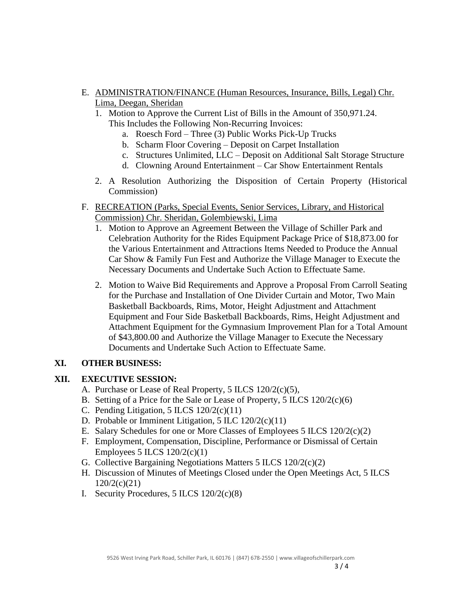- E. ADMINISTRATION/FINANCE (Human Resources, Insurance, Bills, Legal) Chr. Lima, Deegan, Sheridan
	- 1. Motion to Approve the Current List of Bills in the Amount of 350,971.24. This Includes the Following Non-Recurring Invoices:
		- a. Roesch Ford Three (3) Public Works Pick-Up Trucks
		- b. Scharm Floor Covering Deposit on Carpet Installation
		- c. Structures Unlimited, LLC Deposit on Additional Salt Storage Structure
		- d. Clowning Around Entertainment Car Show Entertainment Rentals
	- 2. A Resolution Authorizing the Disposition of Certain Property (Historical Commission)
- F. RECREATION (Parks, Special Events, Senior Services, Library, and Historical Commission) Chr. Sheridan, Golembiewski, Lima
	- 1. Motion to Approve an Agreement Between the Village of Schiller Park and Celebration Authority for the Rides Equipment Package Price of \$18,873.00 for the Various Entertainment and Attractions Items Needed to Produce the Annual Car Show & Family Fun Fest and Authorize the Village Manager to Execute the Necessary Documents and Undertake Such Action to Effectuate Same.
	- 2. Motion to Waive Bid Requirements and Approve a Proposal From Carroll Seating for the Purchase and Installation of One Divider Curtain and Motor, Two Main Basketball Backboards, Rims, Motor, Height Adjustment and Attachment Equipment and Four Side Basketball Backboards, Rims, Height Adjustment and Attachment Equipment for the Gymnasium Improvement Plan for a Total Amount of \$43,800.00 and Authorize the Village Manager to Execute the Necessary Documents and Undertake Such Action to Effectuate Same.

### **XI. OTHER BUSINESS:**

### **XII. EXECUTIVE SESSION:**

- A. Purchase or Lease of Real Property, 5 ILCS 120/2(c)(5),
- B. Setting of a Price for the Sale or Lease of Property, 5 ILCS 120/2(c)(6)
- C. Pending Litigation,  $5$  ILCS  $120/2(c)(11)$
- D. Probable or Imminent Litigation, 5 ILC 120/2(c)(11)
- E. Salary Schedules for one or More Classes of Employees 5 ILCS 120/2(c)(2)
- F. Employment, Compensation, Discipline, Performance or Dismissal of Certain Employees 5 ILCS  $120/2(c)(1)$
- G. Collective Bargaining Negotiations Matters 5 ILCS 120/2(c)(2)
- H. Discussion of Minutes of Meetings Closed under the Open Meetings Act, 5 ILCS 120/2(c)(21)
- I. Security Procedures, 5 ILCS 120/2(c)(8)